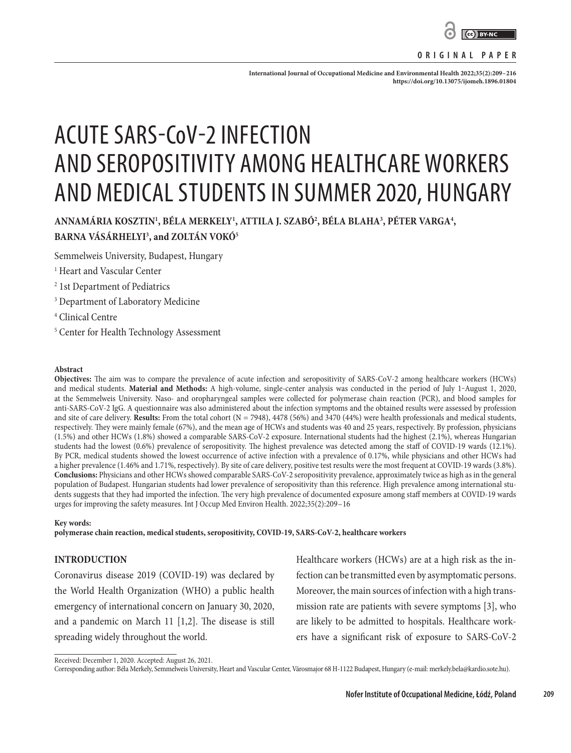

#### **ORIGINAL PAPER**

**International Journal of Occupational Medicine and Environmental Health 2022;35(2):209–216 <https://doi.org/10.13075/ijomeh.1896.01804>**

# ACUTE SARS-CoV-2 INFECTION AND SEROPOSITIVITY AMONG HEALTHCARE WORKERS AND MEDICAL STUDENTS IN SUMMER 2020, HUNGARY

# ANNAMÁRIA KOSZTIN<sup>1</sup>, BÉLA MERKELY<sup>1</sup>, ATTILA J. SZABÓ<sup>2</sup>, BÉLA BLAHA<sup>3</sup>, PÉTER VARGA<sup>4</sup>, **BARNA VÁSÁRHELYI3 , and ZOLTÁN VOKÓ5**

Semmelweis University, Budapest, Hungary

- 1 Heart and Vascular Center
- 2 1st Department of Pediatrics
- 3 Department of Laboratory Medicine
- 4 Clinical Centre
- 5 Center for Health Technology Assessment

#### **Abstract**

**Objectives:** The aim was to compare the prevalence of acute infection and seropositivity of SARS-CoV-2 among healthcare workers (HCWs) and medical students. Material and Methods: A high-volume, single-center analysis was conducted in the period of July 1-August 1, 2020, at the Semmelweis University. Naso- and oropharyngeal samples were collected for polymerase chain reaction (PCR), and blood samples for anti-SARS-CoV-2 IgG. A questionnaire was also administered about the infection symptoms and the obtained results were assessed by profession and site of care delivery. **Results:** From the total cohort ( $N = 7948$ ), 4478 (56%) and 3470 (44%) were health professionals and medical students, respectively. They were mainly female (67%), and the mean age of HCWs and students was 40 and 25 years, respectively. By profession, physicians (1.5%) and other HCWs (1.8%) showed a comparable SARS-CoV-2 exposure. International students had the highest (2.1%), whereas Hungarian students had the lowest (0.6%) prevalence of seropositivity. The highest prevalence was detected among the staff of COVID-19 wards (12.1%). By PCR, medical students showed the lowest occurrence of active infection with a prevalence of 0.17%, while physicians and other HCWs had a higher prevalence (1.46% and 1.71%, respectively). By site of care delivery, positive test results were the most frequent at COVID-19 wards (3.8%). **Conclusions:** Physicians and other HCWs showed comparable SARS-CoV-2 seropositivity prevalence, approximately twice as high as in the general population of Budapest. Hungarian students had lower prevalence of seropositivity than this reference. High prevalence among international students suggests that they had imported the infection. The very high prevalence of documented exposure among staff members at COVID-19 wards urges for improving the safety measures. Int J Occup Med Environ Health. 2022;35(2):209–16

#### **Key words:**

**polymerase chain reaction, medical students, seropositivity, COVID-19, SARS-CoV-2, healthcare workers**

#### **INTRODUCTION**

Coronavirus disease 2019 (COVID-19) was declared by the World Health Organization (WHO) a public health emergency of international concern on January 30, 2020, and a pandemic on March 11 [1,2]. The disease is still spreading widely throughout the world.

Healthcare workers (HCWs) are at a high risk as the infection can be transmitted even by asymptomatic persons. Moreover, the main sources of infection with a high transmission rate are patients with severe symptoms [3], who are likely to be admitted to hospitals. Healthcare workers have a significant risk of exposure to SARS-CoV-2

Corresponding author: Béla Merkely, Semmelweis University, Heart and Vascular Center, Városmajor 68 H-1122 Budapest, Hungary (e-mail: merkely.bela@kardio.sote.hu).

Received: December 1, 2020. Accepted: August 26, 2021.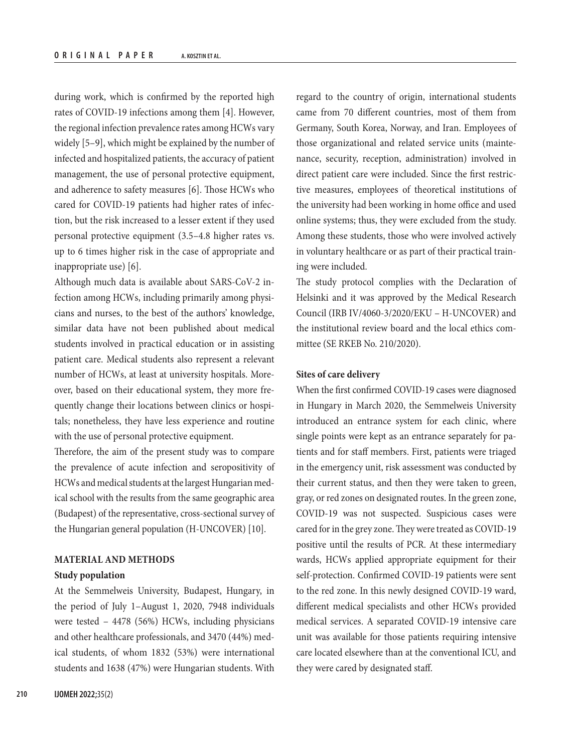during work, which is confirmed by the reported high rates of COVID-19 infections among them [4]. However, the regional infection prevalence rates among HCWs vary widely [5–9], which might be explained by the number of infected and hospitalized patients, the accuracy of patient management, the use of personal protective equipment, and adherence to safety measures [6]. Those HCWs who cared for COVID-19 patients had higher rates of infection, but the risk increased to a lesser extent if they used personal protective equipment (3.5–4.8 higher rates vs. up to 6 times higher risk in the case of appropriate and inappropriate use) [6].

Although much data is available about SARS-CoV-2 infection among HCWs, including primarily among physicians and nurses, to the best of the authors' knowledge, similar data have not been published about medical students involved in practical education or in assisting patient care. Medical students also represent a relevant number of HCWs, at least at university hospitals. Moreover, based on their educational system, they more frequently change their locations between clinics or hospitals; nonetheless, they have less experience and routine with the use of personal protective equipment.

Therefore, the aim of the present study was to compare the prevalence of acute infection and seropositivity of HCWs and medical students at the largest Hungarian medical school with the results from the same geographic area (Budapest) of the representative, cross-sectional survey of the Hungarian general population (H-UNCOVER) [10].

# **MATERIAL AND METHODS Study population**

At the Semmelweis University, Budapest, Hungary, in the period of July 1–August 1, 2020, 7948 individuals were tested – 4478 (56%) HCWs, including physicians and other healthcare professionals, and 3470 (44%) medical students, of whom 1832 (53%) were international students and 1638 (47%) were Hungarian students. With regard to the country of origin, international students came from 70 different countries, most of them from Germany, South Korea, Norway, and Iran. Employees of those organizational and related service units (maintenance, security, reception, administration) involved in direct patient care were included. Since the first restrictive measures, employees of theoretical institutions of the university had been working in home office and used online systems; thus, they were excluded from the study. Among these students, those who were involved actively in voluntary healthcare or as part of their practical training were included.

The study protocol complies with the Declaration of Helsinki and it was approved by the Medical Research Council (IRB IV/4060-3/2020/EKU – H-UNCOVER) and the institutional review board and the local ethics committee (SE RKEB No. 210/2020).

# **Sites of care delivery**

When the first confirmed COVID-19 cases were diagnosed in Hungary in March 2020, the Semmelweis University introduced an entrance system for each clinic, where single points were kept as an entrance separately for patients and for staff members. First, patients were triaged in the emergency unit, risk assessment was conducted by their current status, and then they were taken to green, gray, or red zones on designated routes. In the green zone, COVID-19 was not suspected. Suspicious cases were cared for in the grey zone. They were treated as COVID-19 positive until the results of PCR. At these intermediary wards, HCWs applied appropriate equipment for their self-protection. Confirmed COVID-19 patients were sent to the red zone. In this newly designed COVID-19 ward, different medical specialists and other HCWs provided medical services. A separated COVID-19 intensive care unit was available for those patients requiring intensive care located elsewhere than at the conventional ICU, and they were cared by designated staff.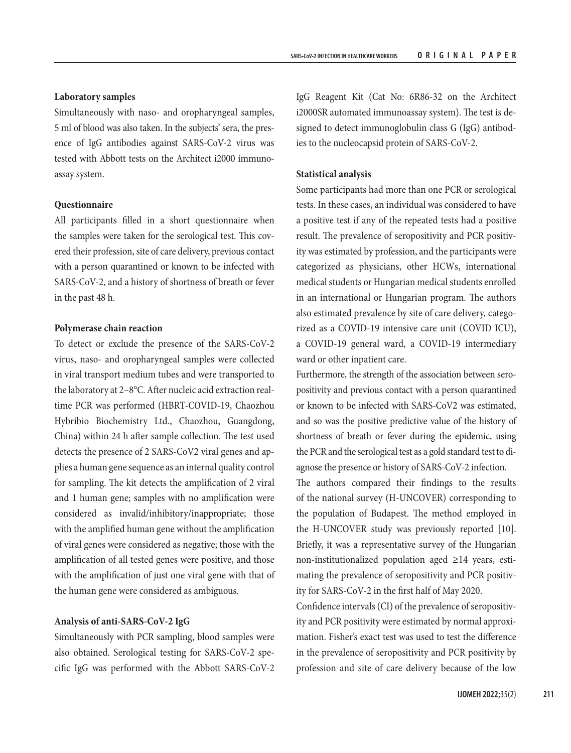#### **Laboratory samples**

Simultaneously with naso- and oropharyngeal samples, 5 ml of blood was also taken. In the subjects' sera, the presence of IgG antibodies against SARS-CoV-2 virus was tested with Abbott tests on the Architect i2000 immunoassay system.

#### **Questionnaire**

All participants filled in a short questionnaire when the samples were taken for the serological test. This covered their profession, site of care delivery, previous contact with a person quarantined or known to be infected with SARS-CoV-2, and a history of shortness of breath or fever in the past 48 h.

#### **Polymerase chain reaction**

To detect or exclude the presence of the SARS-CoV-2 virus, naso- and oropharyngeal samples were collected in viral transport medium tubes and were transported to the laboratory at 2–8°C. After nucleic acid extraction realtime PCR was performed (HBRT-COVID-19, Chaozhou Hybribio Biochemistry Ltd., Chaozhou, Guangdong, China) within 24 h after sample collection. The test used detects the presence of 2 SARS-CoV2 viral genes and applies a human gene sequence as an internal quality control for sampling. The kit detects the amplification of 2 viral and 1 human gene; samples with no amplification were considered as invalid/inhibitory/inappropriate; those with the amplified human gene without the amplification of viral genes were considered as negative; those with the amplification of all tested genes were positive, and those with the amplification of just one viral gene with that of the human gene were considered as ambiguous.

#### **Analysis of anti-SARS-CoV-2 IgG**

Simultaneously with PCR sampling, blood samples were also obtained. Serological testing for SARS-CoV-2 specific IgG was performed with the Abbott SARS-CoV-2

IgG Reagent Kit (Cat No: 6R86-32 on the Architect i2000SR automated immunoassay system). The test is designed to detect immunoglobulin class G (IgG) antibodies to the nucleocapsid protein of SARS-CoV-2.

#### **Statistical analysis**

Some participants had more than one PCR or serological tests. In these cases, an individual was considered to have a positive test if any of the repeated tests had a positive result. The prevalence of seropositivity and PCR positivity was estimated by profession, and the participants were categorized as physicians, other HCWs, international medical students or Hungarian medical students enrolled in an international or Hungarian program. The authors also estimated prevalence by site of care delivery, categorized as a COVID-19 intensive care unit (COVID ICU), a COVID-19 general ward, a COVID-19 intermediary ward or other inpatient care.

Furthermore, the strength of the association between seropositivity and previous contact with a person quarantined or known to be infected with SARS-CoV2 was estimated, and so was the positive predictive value of the history of shortness of breath or fever during the epidemic, using the PCR and the serological test as a gold standard test to diagnose the presence or history of SARS-CoV-2 infection.

The authors compared their findings to the results of the national survey (H-UNCOVER) corresponding to the population of Budapest. The method employed in the H-UNCOVER study was previously reported [10]. Briefly, it was a representative survey of the Hungarian non-institutionalized population aged ≥14 years, estimating the prevalence of seropositivity and PCR positivity for SARS-CoV-2 in the first half of May 2020.

Confidence intervals (CI) of the prevalence of seropositivity and PCR positivity were estimated by normal approximation. Fisher's exact test was used to test the difference in the prevalence of seropositivity and PCR positivity by profession and site of care delivery because of the low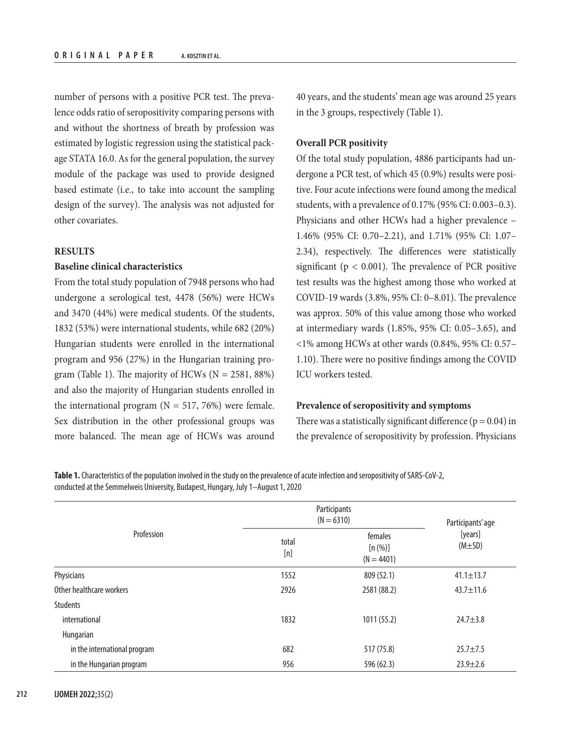number of persons with a positive PCR test. The prevalence odds ratio of seropositivity comparing persons with and without the shortness of breath by profession was estimated by logistic regression using the statistical package STATA 16.0. As for the general population, the survey module of the package was used to provide designed based estimate (i.e., to take into account the sampling design of the survey). The analysis was not adjusted for other covariates.

#### **RESULTS**

## **Baseline clinical characteristics**

From the total study population of 7948 persons who had undergone a serological test, 4478 (56%) were HCWs and 3470 (44%) were medical students. Of the students, 1832 (53%) were international students, while 682 (20%) Hungarian students were enrolled in the international program and 956 (27%) in the Hungarian training program (Table 1). The majority of HCWs ( $N = 2581, 88\%$ ) and also the majority of Hungarian students enrolled in the international program  $(N = 517, 76%)$  were female. Sex distribution in the other professional groups was more balanced. The mean age of HCWs was around

40 years, and the students' mean age was around 25 years in the 3 groups, respectively (Table 1).

# **Overall PCR positivity**

Of the total study population, 4886 participants had undergone a PCR test, of which 45 (0.9%) results were positive. Four acute infections were found among the medical students, with a prevalence of 0.17% (95% CI: 0.003–0.3). Physicians and other HCWs had a higher prevalence – 1.46% (95% CI: 0.70–2.21), and 1.71% (95% CI: 1.07– 2.34), respectively. The differences were statistically significant ( $p < 0.001$ ). The prevalence of PCR positive test results was the highest among those who worked at COVID-19 wards (3.8%, 95% CI: 0–8.01). The prevalence was approx. 50% of this value among those who worked at intermediary wards (1.85%, 95% CI: 0.05–3.65), and <1% among HCWs at other wards (0.84%, 95% CI: 0.57– 1.10). There were no positive findings among the COVID ICU workers tested.

# **Prevalence of seropositivity and symptoms**

There was a statistically significant difference ( $p = 0.04$ ) in the prevalence of seropositivity by profession. Physicians

**Table 1.** Characteristics of the population involved in the study on the prevalence of acute infection and seropositivity of SARS-CoV-2, conducted at the Semmelweis University, Budapest, Hungary, July 1–August 1, 2020

| Profession                   | Participants<br>$(N = 6310)$ | Participants' age                  |                         |
|------------------------------|------------------------------|------------------------------------|-------------------------|
|                              | total<br>[n]                 | females<br>[n (%)]<br>$(N = 4401)$ | [years]<br>$(M \pm SD)$ |
| Physicians                   | 1552                         | 809 (52.1)                         | $41.1 \pm 13.7$         |
| Other healthcare workers     | 2926                         | 2581 (88.2)                        | $43.7 \pm 11.6$         |
| <b>Students</b>              |                              |                                    |                         |
| international                | 1832                         | 1011 (55.2)                        | $24.7 \pm 3.8$          |
| Hungarian                    |                              |                                    |                         |
| in the international program | 682                          | 517 (75.8)                         | $25.7 \pm 7.5$          |
| in the Hungarian program     | 956                          | 596 (62.3)                         | $23.9 \pm 2.6$          |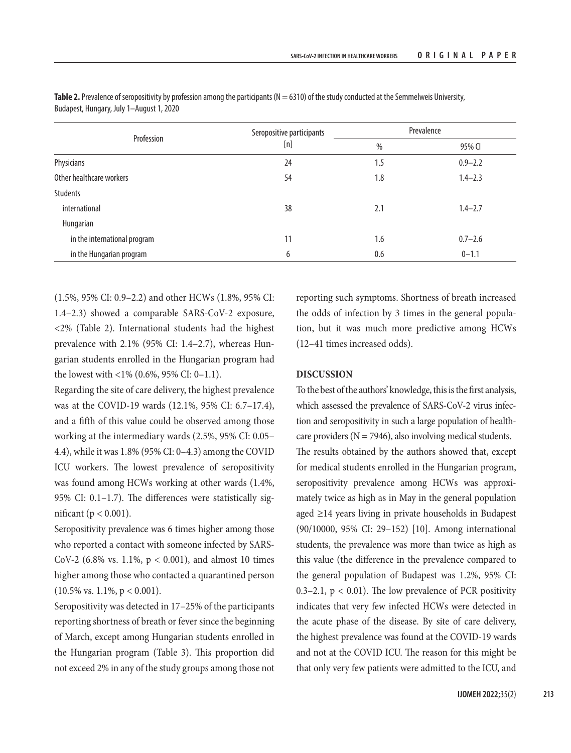|                              | Seropositive participants | Prevalence |             |  |
|------------------------------|---------------------------|------------|-------------|--|
| Profession                   | [n]                       | $\%$       | 95% CI      |  |
| Physicians                   | 24                        | 1.5        | $0.9 - 2.2$ |  |
| Other healthcare workers     | 54                        | 1.8        | $1.4 - 2.3$ |  |
| <b>Students</b>              |                           |            |             |  |
| international                | 38                        | 2.1        | $1.4 - 2.7$ |  |
| Hungarian                    |                           |            |             |  |
| in the international program | 11                        | 1.6        | $0.7 - 2.6$ |  |
| in the Hungarian program     | 6                         | 0.6        | $0 - 1.1$   |  |

Table 2. Prevalence of seropositivity by profession among the participants (N = 6310) of the study conducted at the Semmelweis University, Budapest, Hungary, July 1–August 1, 2020

(1.5%, 95% CI: 0.9–2.2) and other HCWs (1.8%, 95% CI: 1.4–2.3) showed a comparable SARS-CoV-2 exposure, <2% (Table 2). International students had the highest prevalence with 2.1% (95% CI: 1.4–2.7), whereas Hungarian students enrolled in the Hungarian program had the lowest with <1% (0.6%, 95% CI: 0–1.1).

Regarding the site of care delivery, the highest prevalence was at the COVID-19 wards (12.1%, 95% CI: 6.7–17.4), and a fifth of this value could be observed among those working at the intermediary wards (2.5%, 95% CI: 0.05– 4.4), while it was 1.8% (95% CI: 0–4.3) among the COVID ICU workers. The lowest prevalence of seropositivity was found among HCWs working at other wards (1.4%, 95% CI: 0.1–1.7). The differences were statistically significant ( $p < 0.001$ ).

Seropositivity prevalence was 6 times higher among those who reported a contact with someone infected by SARS-CoV-2 (6.8% vs. 1.1%,  $p < 0.001$ ), and almost 10 times higher among those who contacted a quarantined person  $(10.5\% \text{ vs. } 1.1\%, \text{ p} < 0.001).$ 

Seropositivity was detected in 17–25% of the participants reporting shortness of breath or fever since the beginning of March, except among Hungarian students enrolled in the Hungarian program (Table 3). This proportion did not exceed 2% in any of the study groups among those not

reporting such symptoms. Shortness of breath increased the odds of infection by 3 times in the general population, but it was much more predictive among HCWs (12–41 times increased odds).

## **DISCUSSION**

To the best of the authors' knowledge, this is the first analysis, which assessed the prevalence of SARS-CoV-2 virus infection and seropositivity in such a large population of healthcare providers ( $N = 7946$ ), also involving medical students. The results obtained by the authors showed that, except for medical students enrolled in the Hungarian program, seropositivity prevalence among HCWs was approximately twice as high as in May in the general population aged ≥14 years living in private households in Budapest (90/10000, 95% CI: 29–152) [10]. Among international students, the prevalence was more than twice as high as this value (the difference in the prevalence compared to the general population of Budapest was 1.2%, 95% CI: 0.3–2.1,  $p < 0.01$ ). The low prevalence of PCR positivity indicates that very few infected HCWs were detected in the acute phase of the disease. By site of care delivery, the highest prevalence was found at the COVID-19 wards and not at the COVID ICU. The reason for this might be that only very few patients were admitted to the ICU, and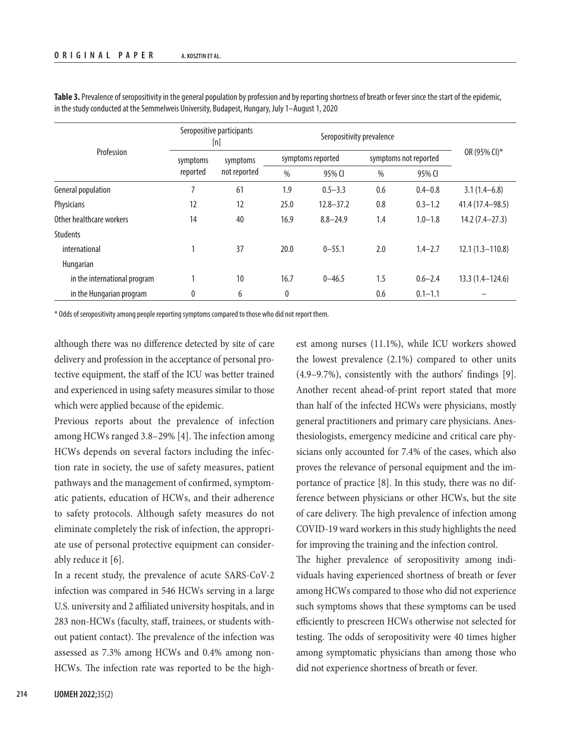| Profession                   | Seropositive participants<br>[n] |              | Seropositivity prevalence |               |                       |             |                     |
|------------------------------|----------------------------------|--------------|---------------------------|---------------|-----------------------|-------------|---------------------|
|                              | symptoms<br>reported             | symptoms     | symptoms reported         |               | symptoms not reported |             | OR (95% CI)*        |
|                              |                                  | not reported | $\frac{0}{0}$             | 95% CI        | $\%$                  | 95% CI      |                     |
| General population           | 7                                | 61           | 1.9                       | $0.5 - 3.3$   | 0.6                   | $0.4 - 0.8$ | $3.1(1.4-6.8)$      |
| Physicians                   | 12                               | 12           | 25.0                      | $12.8 - 37.2$ | 0.8                   | $0.3 - 1.2$ | 41.4 (17.4 - 98.5)  |
| Other healthcare workers     | 14                               | 40           | 16.9                      | $8.8 - 24.9$  | 1.4                   | $1.0 - 1.8$ | $14.2(7.4-27.3)$    |
| <b>Students</b>              |                                  |              |                           |               |                       |             |                     |
| international                |                                  | 37           | 20.0                      | $0 - 55.1$    | 2.0                   | $1.4 - 2.7$ | $12.1(1.3 - 110.8)$ |
| Hungarian                    |                                  |              |                           |               |                       |             |                     |
| in the international program | 1                                | 10           | 16.7                      | $0 - 46.5$    | 1.5                   | $0.6 - 2.4$ | $13.3(1.4 - 124.6)$ |
| in the Hungarian program     | $\bf{0}$                         | 6            | 0                         |               | 0.6                   | $0.1 - 1.1$ |                     |

**Table 3.** Prevalence of seropositivity in the general population by profession and by reporting shortness of breath or fever since the start of the epidemic, in the study conducted at the Semmelweis University, Budapest, Hungary, July 1–August 1, 2020

\* Odds of seropositivity among people reporting symptoms compared to those who did not report them.

although there was no difference detected by site of care delivery and profession in the acceptance of personal protective equipment, the staff of the ICU was better trained and experienced in using safety measures similar to those which were applied because of the epidemic.

Previous reports about the prevalence of infection among HCWs ranged 3.8–29% [4]. The infection among HCWs depends on several factors including the infection rate in society, the use of safety measures, patient pathways and the management of confirmed, symptomatic patients, education of HCWs, and their adherence to safety protocols. Although safety measures do not eliminate completely the risk of infection, the appropriate use of personal protective equipment can considerably reduce it [6].

In a recent study, the prevalence of acute SARS-CoV-2 infection was compared in 546 HCWs serving in a large U.S. university and 2 affiliated university hospitals, and in 283 non-HCWs (faculty, staff, trainees, or students without patient contact). The prevalence of the infection was assessed as 7.3% among HCWs and 0.4% among non-HCWs. The infection rate was reported to be the highest among nurses (11.1%), while ICU workers showed the lowest prevalence  $(2.1\%)$  compared to other units (4.9–9.7%), consistently with the authors' findings [9]. Another recent ahead-of-print report stated that more than half of the infected HCWs were physicians, mostly general practitioners and primary care physicians. Anesthesiologists, emergency medicine and critical care physicians only accounted for 7.4% of the cases, which also proves the relevance of personal equipment and the importance of practice [8]. In this study, there was no difference between physicians or other HCWs, but the site of care delivery. The high prevalence of infection among COVID-19 ward workers in this study highlights the need for improving the training and the infection control.

The higher prevalence of seropositivity among individuals having experienced shortness of breath or fever among HCWs compared to those who did not experience such symptoms shows that these symptoms can be used efficiently to prescreen HCWs otherwise not selected for testing. The odds of seropositivity were 40 times higher among symptomatic physicians than among those who did not experience shortness of breath or fever.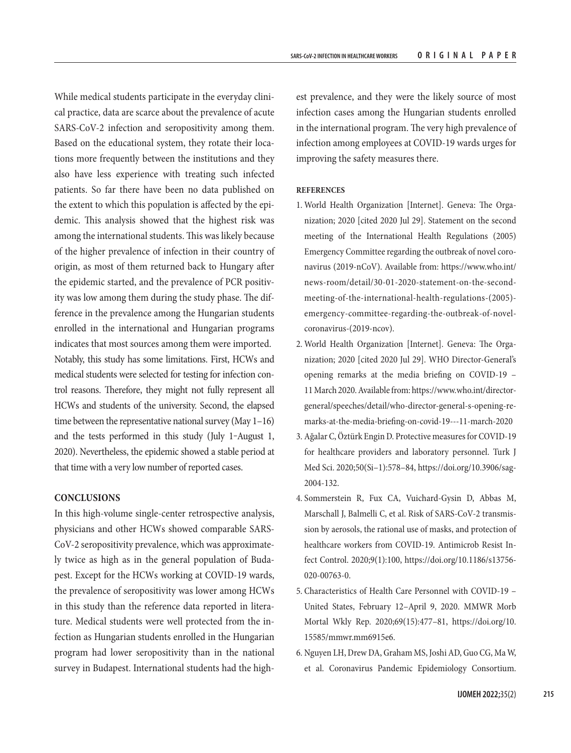While medical students participate in the everyday clinical practice, data are scarce about the prevalence of acute SARS-CoV-2 infection and seropositivity among them. Based on the educational system, they rotate their locations more frequently between the institutions and they also have less experience with treating such infected patients. So far there have been no data published on the extent to which this population is affected by the epidemic. This analysis showed that the highest risk was among the international students. This was likely because of the higher prevalence of infection in their country of origin, as most of them returned back to Hungary after the epidemic started, and the prevalence of PCR positivity was low among them during the study phase. The difference in the prevalence among the Hungarian students enrolled in the international and Hungarian programs indicates that most sources among them were imported. Notably, this study has some limitations. First, HCWs and medical students were selected for testing for infection control reasons. Therefore, they might not fully represent all HCWs and students of the university. Second, the elapsed time between the representative national survey (May 1–16) and the tests performed in this study (July 1-August 1, 2020). Nevertheless, the epidemic showed a stable period at that time with a very low number of reported cases.

### **CONCLUSIONS**

In this high-volume single-center retrospective analysis, physicians and other HCWs showed comparable SARS-CoV-2 seropositivity prevalence, which was approximately twice as high as in the general population of Budapest. Except for the HCWs working at COVID-19 wards, the prevalence of seropositivity was lower among HCWs in this study than the reference data reported in literature. Medical students were well protected from the infection as Hungarian students enrolled in the Hungarian program had lower seropositivity than in the national survey in Budapest. International students had the high-

est prevalence, and they were the likely source of most infection cases among the Hungarian students enrolled in the international program. The very high prevalence of infection among employees at COVID-19 wards urges for improving the safety measures there.

#### **REFERENCES**

- 1. World Health Organization [Internet]. Geneva: The Organization; 2020 [cited 2020 Jul 29]. Statement on the second meeting of the International Health Regulations (2005) Emergency Committee regarding the outbreak of novel coronavirus (2019-nCoV). Available from: [https://www.who.int/](https://www.who.int/news-room/detail/30-01-2020-statement-on-the-second-meeting-of-the-international-health-regulations-(2005)-emergency-committee-regarding-the-outbreak-of-novel-coronavirus-(2019-ncov)) [news-room/detail/30-01-2020-statement-on-the-second](https://www.who.int/news-room/detail/30-01-2020-statement-on-the-second-meeting-of-the-international-health-regulations-(2005)-emergency-committee-regarding-the-outbreak-of-novel-coronavirus-(2019-ncov))[meeting-of-the-international-health-regulations-\(2005\)](https://www.who.int/news-room/detail/30-01-2020-statement-on-the-second-meeting-of-the-international-health-regulations-(2005)-emergency-committee-regarding-the-outbreak-of-novel-coronavirus-(2019-ncov)) [emergency-committee-regarding-the-outbreak-of-novel](https://www.who.int/news-room/detail/30-01-2020-statement-on-the-second-meeting-of-the-international-health-regulations-(2005)-emergency-committee-regarding-the-outbreak-of-novel-coronavirus-(2019-ncov))[coronavirus-\(2019-ncov\)](https://www.who.int/news-room/detail/30-01-2020-statement-on-the-second-meeting-of-the-international-health-regulations-(2005)-emergency-committee-regarding-the-outbreak-of-novel-coronavirus-(2019-ncov)).
- 2. World Health Organization [Internet]. Geneva: The Organization; 2020 [cited 2020 Jul 29]. WHO Director-General's opening remarks at the media briefing on COVID-19 – 11 March 2020. Available from: [https://www.who.int/director](https://www.who.int/director-general/speeches/detail/who-director-general-s-opening-remarks-at-the-media-briefing-on-covid-19---11-march-2020)[general/speeches/detail/who-director-general-s-opening-re](https://www.who.int/director-general/speeches/detail/who-director-general-s-opening-remarks-at-the-media-briefing-on-covid-19---11-march-2020)[marks-at-the-media-briefing-on-covid-19---11-march-2020](https://www.who.int/director-general/speeches/detail/who-director-general-s-opening-remarks-at-the-media-briefing-on-covid-19---11-march-2020)
- 3. Ağalar C, Öztürk Engin D. Protective measures for COVID-19 for healthcare providers and laboratory personnel. Turk J Med Sci. 2020;50(Si–1):578–84, [https://doi.org/10.3906/sag-](https://doi.org/10.3906/sag-2004-132)[2004-132.](https://doi.org/10.3906/sag-2004-132)
- 4. Sommerstein R, Fux CA, Vuichard-Gysin D, Abbas M, Marschall J, Balmelli C, et al. Risk of SARS-CoV-2 transmission by aerosols, the rational use of masks, and protection of healthcare workers from COVID-19. Antimicrob Resist Infect Control. 2020;9(1):100, [https://doi.org/10.1186/s13756-](https://doi.org/10.1186/s13756-020-00763-0) [020-00763-0.](https://doi.org/10.1186/s13756-020-00763-0)
- 5. Characteristics of Health Care Personnel with COVID-19 United States, February 12–April 9, 2020. MMWR Morb Mortal Wkly Rep. 2020;69(15):477–81, [https://doi.org/10.](https://doi.org/10.15585/mmwr.mm6915e6) [15585/mmwr.mm6915e6](https://doi.org/10.15585/mmwr.mm6915e6).
- 6. Nguyen LH, Drew DA, Graham MS, Joshi AD, Guo CG, Ma W, et al. Coronavirus Pandemic Epidemiology Consortium.